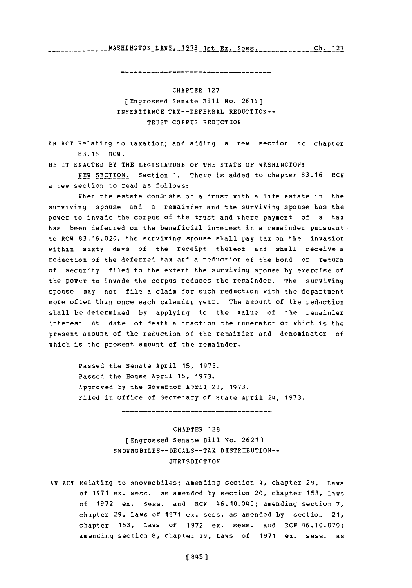WASHINGTON LAWS. **1973** 1st Ex. Sess.Ch 12 **Ch. 127**

CHAPTER **127** [Engrossed Senate Bill No. 2614] INHERITANCE TAX--DEFERRAL REDUCTION-- TRUST **CORPUS** REDUCTION

**AN ACT** Relating to taxation; and adding a new section to chapter **83.16** RCW.

BE IT **ENACTED** BY THE **LEGISLATURE** OF THE **STATE** OF **WASHINGTON:**

**NEW** SECTION. Section **1.** There is added to chapter **83.16** RCW a new section to read as follows:

When the estate consists of a trust with a life estate in the surviving spouse and a remainder and the surviving spouse has the power to invade the corpus of the trust and where payment of a tax has been deferred on the beneficial interest in a remainder pursuant. to RCW **83.16.020,** the surviving spouse shall pay tax on the invasion within sixty days of the receipt thereof and shall receive a reduction of the deferred tax and a reduction of the bond or return of security filed to the extent the surviving spouse **by** exercise of the power to invade the corpus reduces the remainder. The surviving spouse may not file a claim for such reduction with the department more often than once each calendar year. The amount of the reduction shall be determined **by** applying to the value of the remainder interest at date of death a fraction the numerator of which is the present amount of the reduction of the remainder and denominator of which is the present amount of the remainder.

Passed the Senate April **15, 1973.** Passed the House April **15, 1973.** Approved **by** the Governor April **23, 1973.** Filed in Office of Secretary of State April 24, 1973.

------------------------------------

CHAPTER **128** [Engrossed Senate Bill No. **2621) SNOWMOBILES--DECALS--TAX** DISTRIBUTION-- **JURISDICTION** 

**AN ACT** Relating to snowmobiles; amending section 4~, chapter **29,** Laws of **1971** ex. sess. as amended **by** section 20, chapter **153,** Laws of **1972** ex. sess. and RCW 46.10.0140; amending section **7,** chapter **29,** Laws of **1971** ex. sess. as amended **by** section 21, chapter **153,** Laws of **1972** ex. sess. and RCW 46.10.070; amending section **8,** chapter **29,** Laws of **1971** ex. sess. as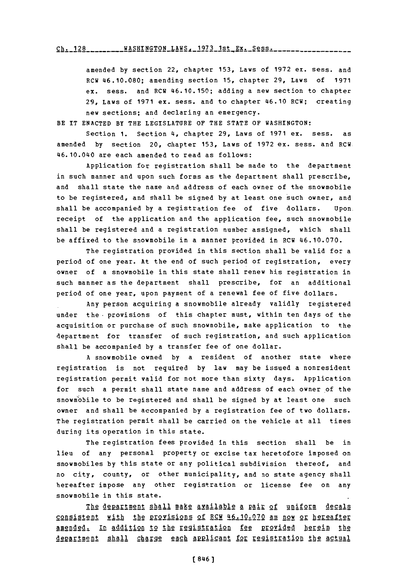$\frac{128}{128}$  ........ WASHINGTON LAWS, 1973 1st Ex. Sess......................

amended **by** section 22, chapter **153,** Laws of **1972** ex. sess. and RCW 46.10.080; amending section **15,** chapter **29,** Laws of **1971** ex. sess. and RCW 46.10.150; adding a new section to chapter **29,** Laws of **1971** ex. sess. and to chapter 46.10 RCW; creating new sections; and declaring an emergency.

BE IT **ENACTED BY** THE **LEGISLATURE** OF THE **STATE** OF WASHINGTON:

Section **1.** Section 4, chapter **29,** Laws of **1971** ex. sess. as amended **by** section 20, chapter **153,** Laws of **1972** ex. sess. and RCW. 46. 10.040 are each amended to read as follows:

Application for registration shall be made to the department in such manner and upon such forms as the department shall prescribe, and shall state the name and address of each owner of the snowmobile to be registered, and shall be signed **by** at least one such owner, and shall be accompanied **by** a registration fee of five dollars. Upon. receipt of the application and the application fee, such snowmobile shall be registered and a registration number assigned, which shall be affixed to the snowmobile in a manner provided in RCW 46.10.070.

The registration provided in this section shall be valid for a period of one year. At the end of such period of registration, every owner of a snowmobile in this state shall renew his registration in such manner as the department shall prescribe, for an additional period of one year, upon payment of a renewal fee of five dollars.

Any person acquiring a snowmobile already validly registered under the provisions of this chapter must, within ten days of the acquisition or purchase of such snowmobile, make application to the department for transfer of such registration, and such application shall be accompanied **by** a transfer fee of one dollar.

**<sup>A</sup>**snowmobile owned **by** a resident of another state where registration is not required **by** law may be issued a nonresident registration permit valid for not more than sixty days. Application for such a permit shall state name and address of each owner of the snowm"obile to be registered and shall be signed **by** at least one such owner and shall be accompanied **by** a registration fee of two dollars. The registration permit shall be carried on the vehicle at all times during its operation in this state.

The registration fees provided in this section shall be in lieu of any personal property or excise tax heretofore imposed on snowmobiles **by** this state or any political subdivision thereof, and no city, county, or other municipality, and no state agency shall hereafter impose any other registration or license fee on any snowmobile in this state.

The department shall make available a pair of uniform decals consistent with the provisions of RCM 46.10.070 as now or hereafter amended. In addition to the registration fee provided herein the department shall charge each applicant for registration the actual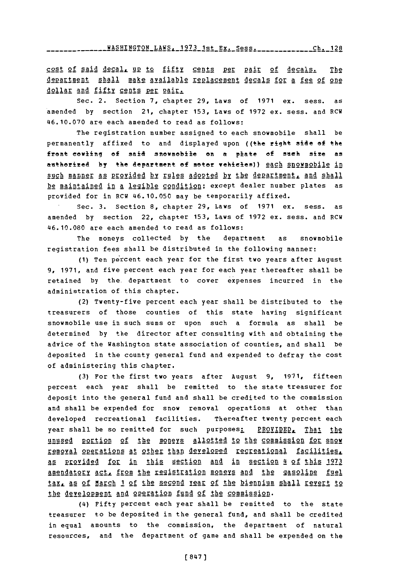**YA2EIE912N** LAWS. **1973** 1st Ex. Sess. **Ch-** 12R

cost of said decal<sub>s</sub> up to fifty cents per pair of decals. The department shall make available replacement decals for a fee of one dollar and fifty cents per pair.

Sec. 2. Section **7,** chapter **29, Laws** of **1971** ex. sess. as amended **by** section 21, chapter **153,** Laws of **1972** ex. sess. and RCW 46.10.070 are each amended to read as follows:

The registration number assigned to each snowmobile shall be permanently affixed to and displayed upon ((the right side **of** the front cowling of said snowmobile on a plate of such sire as authorized by the department of motor **vehicles**)) <u>each snowmobile in</u> such manner as provided by rules adopted by the department, and shall be maintained in a legible condition; except dealer number plates as provided for in RCW 46.10.050 may be temporarily affixed.

Sec. **3.** Section **8,** chapter **29,** Laws of **1971** ex. sess. as amended **by** section 22, chapter **153,** Laws of **1972** ex. sess. and RCW 46.10.080 are each amended to read as follows:

The moneys collected **by** the department as snowmobile registration fees shall be distributed in the following manner:

**(1)** Ten percent each year for the first two years after August **9, 1971,** and five percent each year for each year thereafter shall be retained **by** the. department to cover expenses incurred in the administration of this chapter.

(2) Twenty-five percent each year shall be distributed to the treasurers of those counties of this state having significant snowmobile use in such sums or upon such a formula as shall be determined **by** the director after consulting with and obtaining the advice of the Washington state association of counties, and shall be deposited in the county general fund and expended to defray the cost of administering this chapter.

**(3)** For the first two years after August **9, 1971,** fifteen percent each year shall be remitted to the state treasurer for deposit into the general fund and shall be credited to the commission and shall be expended for snow removal operations at other than developed recreational facilities. Thereafter twenty percent each year shall be so remitted for such purposes: PROVIDED, That the unused portion of the moners allotted to the commission for snow removal operations at other than developed recreational facilities, **!§** p12Yided for in this section and in section 4 of this **<sup>1973</sup>** amendatory act, from the registration moneys and the gasoline fuel tax, as of March 1 of the second year of the biennium shall revert to the development and operation fund of the commission.

(4) Fifty percent each year shall be remitted to the state treasurer to be deposited in the general fund, and shall be credited in equal amounts to the commission, the department of natural resources, and the department of game and shall be expended on the